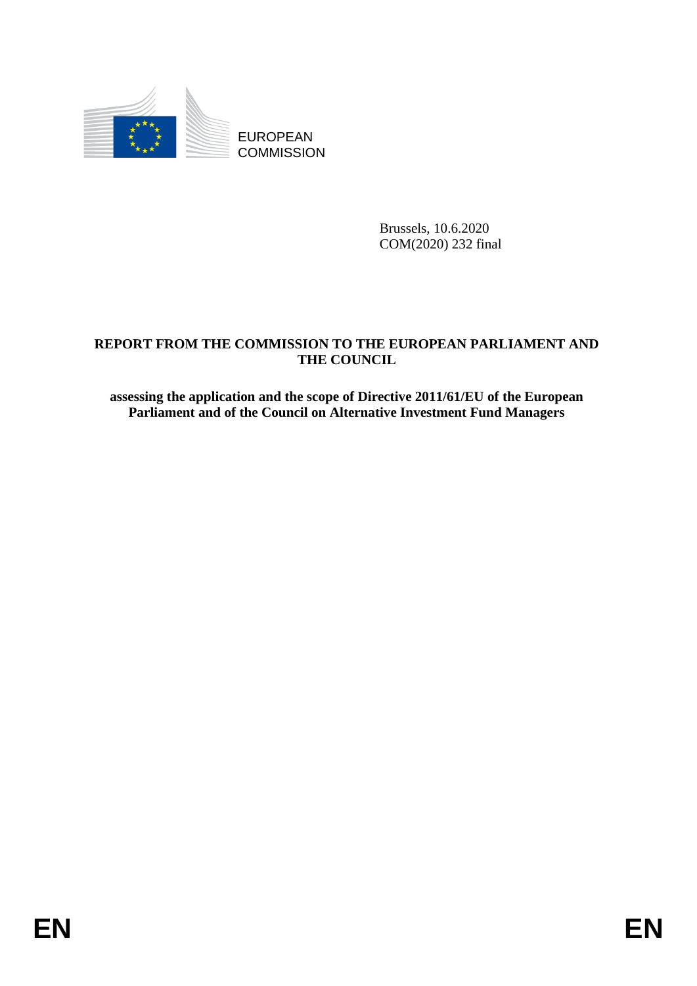

EUROPEAN **COMMISSION** 

> Brussels, 10.6.2020 COM(2020) 232 final

## **REPORT FROM THE COMMISSION TO THE EUROPEAN PARLIAMENT AND THE COUNCIL**

**assessing the application and the scope of Directive 2011/61/EU of the European Parliament and of the Council on Alternative Investment Fund Managers**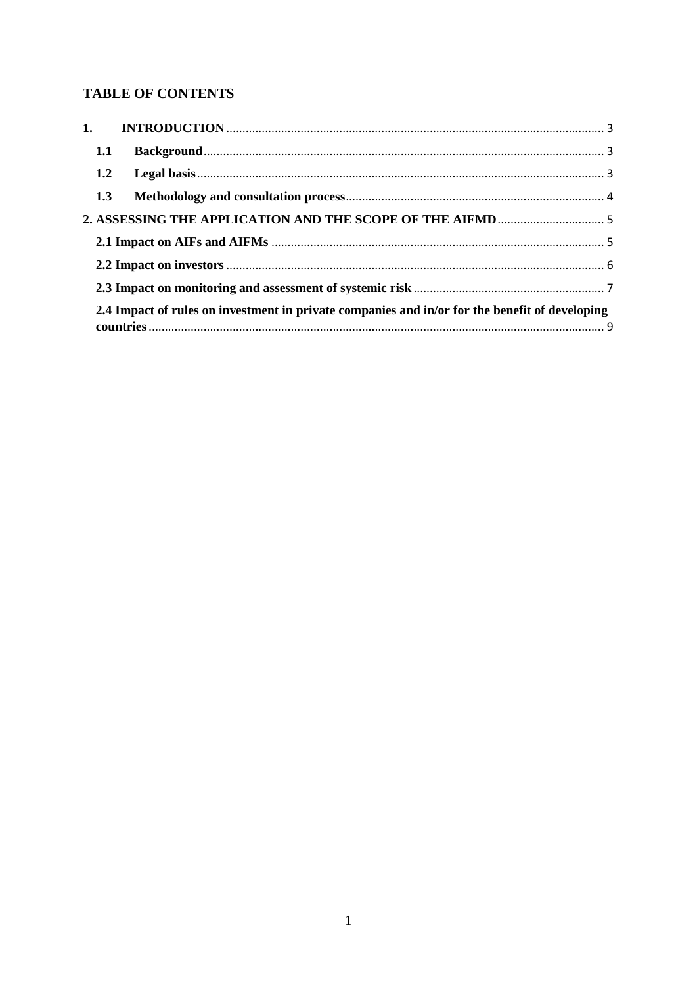# **TABLE OF CONTENTS**

|                                                                                                | 1.1 |  |  |
|------------------------------------------------------------------------------------------------|-----|--|--|
|                                                                                                | 1.2 |  |  |
|                                                                                                | 1.3 |  |  |
|                                                                                                |     |  |  |
|                                                                                                |     |  |  |
|                                                                                                |     |  |  |
|                                                                                                |     |  |  |
| 2.4 Impact of rules on investment in private companies and in/or for the benefit of developing |     |  |  |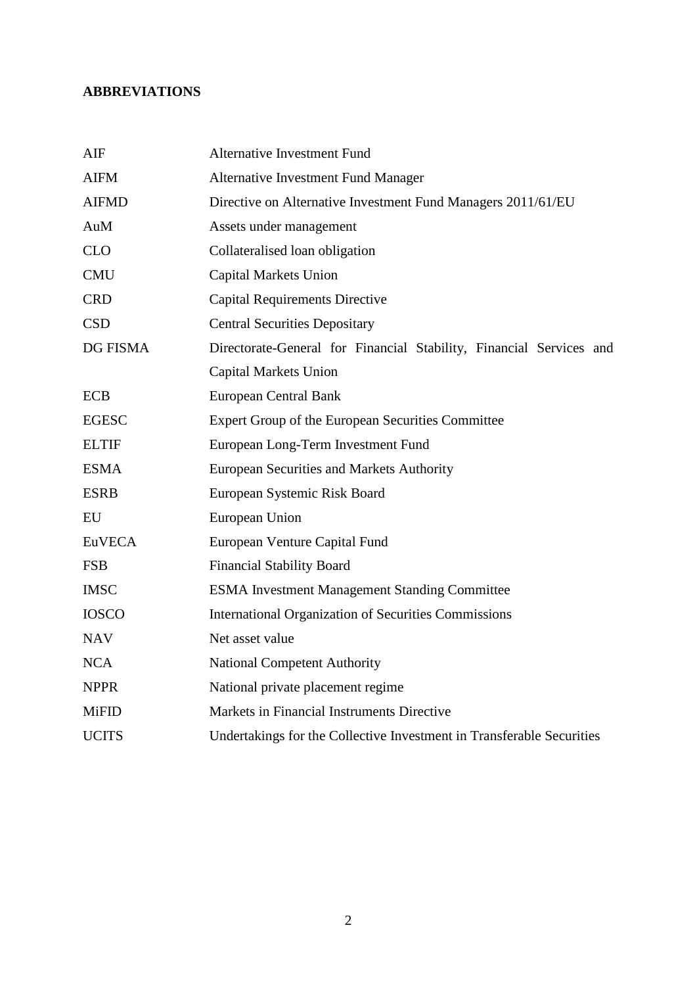# **ABBREVIATIONS**

| AIF           | <b>Alternative Investment Fund</b>                                    |
|---------------|-----------------------------------------------------------------------|
| <b>AIFM</b>   | <b>Alternative Investment Fund Manager</b>                            |
| <b>AIFMD</b>  | Directive on Alternative Investment Fund Managers 2011/61/EU          |
| AuM           | Assets under management                                               |
| <b>CLO</b>    | Collateralised loan obligation                                        |
| <b>CMU</b>    | <b>Capital Markets Union</b>                                          |
| <b>CRD</b>    | <b>Capital Requirements Directive</b>                                 |
| <b>CSD</b>    | <b>Central Securities Depositary</b>                                  |
| DG FISMA      | Directorate-General for Financial Stability, Financial Services and   |
|               | <b>Capital Markets Union</b>                                          |
| <b>ECB</b>    | <b>European Central Bank</b>                                          |
| <b>EGESC</b>  | Expert Group of the European Securities Committee                     |
| <b>ELTIF</b>  | European Long-Term Investment Fund                                    |
| <b>ESMA</b>   | European Securities and Markets Authority                             |
| <b>ESRB</b>   | European Systemic Risk Board                                          |
| EU            | European Union                                                        |
| <b>EuVECA</b> | European Venture Capital Fund                                         |
| <b>FSB</b>    | <b>Financial Stability Board</b>                                      |
| <b>IMSC</b>   | <b>ESMA Investment Management Standing Committee</b>                  |
| <b>IOSCO</b>  | International Organization of Securities Commissions                  |
| <b>NAV</b>    | Net asset value                                                       |
| <b>NCA</b>    | <b>National Competent Authority</b>                                   |
| <b>NPPR</b>   | National private placement regime                                     |
| <b>MiFID</b>  | Markets in Financial Instruments Directive                            |
| <b>UCITS</b>  | Undertakings for the Collective Investment in Transferable Securities |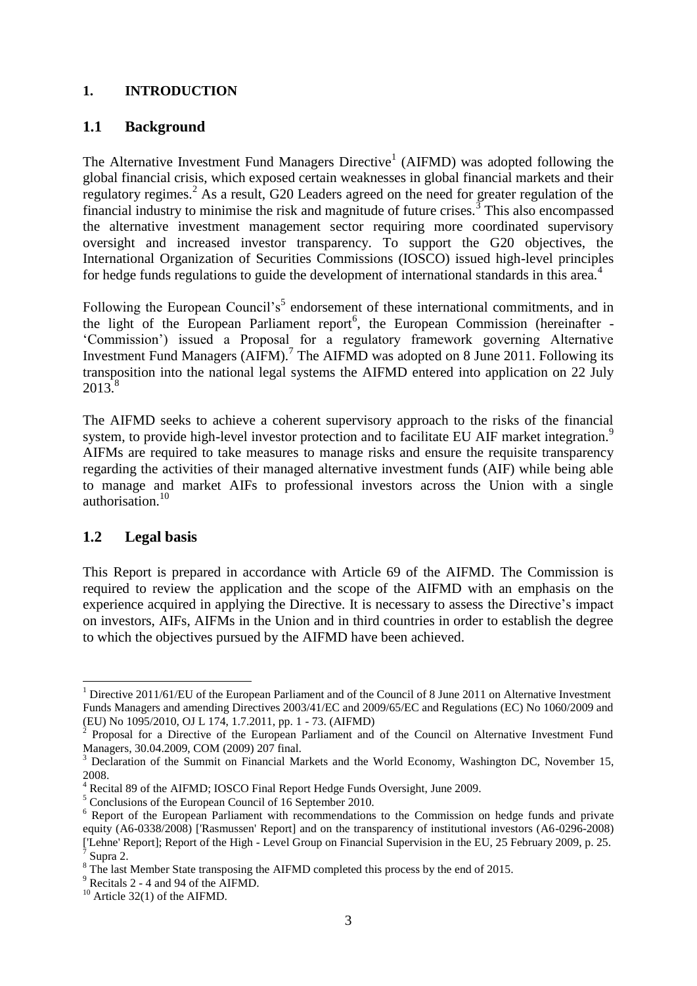#### **1. INTRODUCTION**

### **1.1 Background**

The Alternative Investment Fund Managers Directive<sup>1</sup> (AIFMD) was adopted following the global financial crisis, which exposed certain weaknesses in global financial markets and their regulatory regimes.<sup>2</sup> As a result, G20 Leaders agreed on the need for greater regulation of the financial industry to minimise the risk and magnitude of future crises.<sup>3</sup> This also encompassed the alternative investment management sector requiring more coordinated supervisory oversight and increased investor transparency. To support the G20 objectives, the International Organization of Securities Commissions (IOSCO) issued high-level principles for hedge funds regulations to guide the development of international standards in this area.<sup>4</sup>

Following the European Council's<sup>5</sup> endorsement of these international commitments, and in the light of the European Parliament report<sup>6</sup>, the European Commission (hereinafter -'Commission') issued a Proposal for a regulatory framework governing Alternative Investment Fund Managers  $(AIFM)$ .<sup>7</sup> The AIFMD was adopted on 8 June 2011. Following its transposition into the national legal systems the AIFMD entered into application on 22 July 2013.<sup>8</sup>

The AIFMD seeks to achieve a coherent supervisory approach to the risks of the financial system, to provide high-level investor protection and to facilitate EU AIF market integration.<sup>9</sup> AIFMs are required to take measures to manage risks and ensure the requisite transparency regarding the activities of their managed alternative investment funds (AIF) while being able to manage and market AIFs to professional investors across the Union with a single authorisation $10$ 

## **1.2 Legal basis**

 $\overline{\phantom{a}}$ 

This Report is prepared in accordance with Article 69 of the AIFMD. The Commission is required to review the application and the scope of the AIFMD with an emphasis on the experience acquired in applying the Directive. It is necessary to assess the Directive's impact on investors, AIFs, AIFMs in the Union and in third countries in order to establish the degree to which the objectives pursued by the AIFMD have been achieved.

<sup>&</sup>lt;sup>1</sup> Directive 2011/61/EU of the European Parliament and of the Council of 8 June 2011 on Alternative Investment Funds Managers and amending Directives 2003/41/EC and 2009/65/EC and Regulations (EC) No 1060/2009 and (EU) No 1095/2010, OJ L 174, 1.7.2011, pp. 1 - 73. (AIFMD)

 $2^2$  Proposal for a Directive of the European Parliament and of the Council on Alternative Investment Fund Managers, 30.04.2009, COM (2009) 207 final.

<sup>&</sup>lt;sup>3</sup> Declaration of the Summit on Financial Markets and the World Economy, Washington DC, November 15, 2008.

Recital 89 of the AIFMD; IOSCO Final Report Hedge Funds Oversight, June 2009.

<sup>&</sup>lt;sup>5</sup> Conclusions of the European Council of 16 September 2010.

<sup>&</sup>lt;sup>6</sup> Report of the European Parliament with recommendations to the Commission on hedge funds and private equity (A6-0338/2008) ['Rasmussen' Report] and on the transparency of institutional investors (A6-0296-2008) ['Lehne' Report]; Report of the High - Level Group on Financial Supervision in the EU, 25 February 2009, p. 25. 7 Supra 2.

<sup>&</sup>lt;sup>8</sup> The last Member State transposing the AIFMD completed this process by the end of 2015.

<sup>9</sup> Recitals 2 - 4 and 94 of the AIFMD.

 $10$  Article 32(1) of the AIFMD.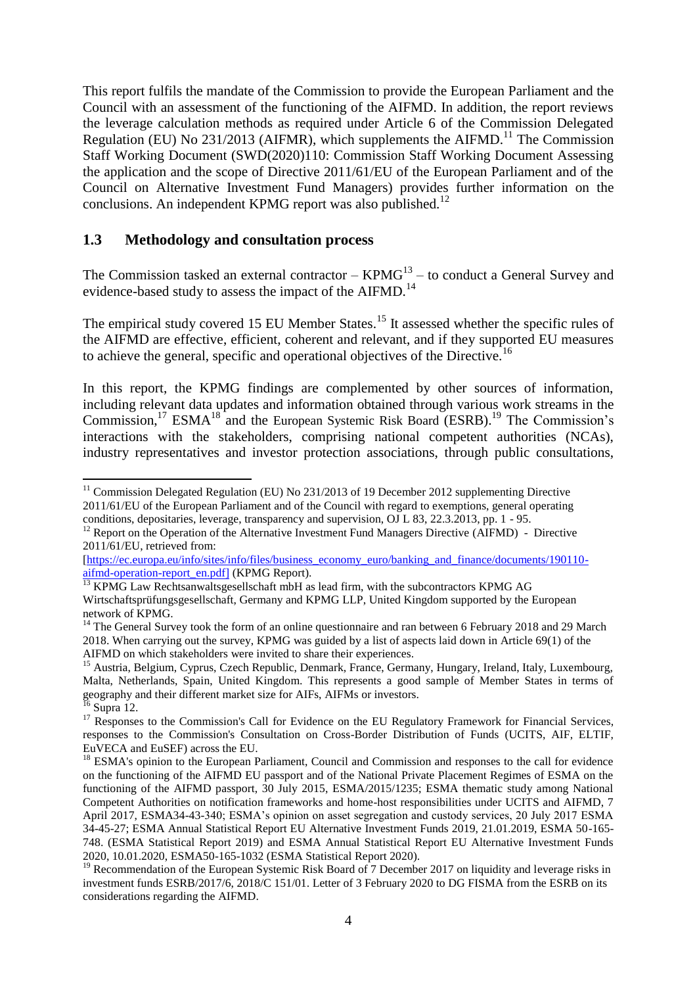This report fulfils the mandate of the Commission to provide the European Parliament and the Council with an assessment of the functioning of the AIFMD. In addition, the report reviews the leverage calculation methods as required under Article 6 of the Commission Delegated Regulation (EU) No  $231/2013$  (AIFMR), which supplements the AIFMD.<sup>11</sup> The Commission Staff Working Document (SWD(2020)110: Commission Staff Working Document Assessing the application and the scope of Directive 2011/61/EU of the European Parliament and of the Council on Alternative Investment Fund Managers) provides further information on the conclusions. An independent KPMG report was also published.<sup>12</sup>

#### **1.3 Methodology and consultation process**

The Commission tasked an external contractor  $-$  KPM $G<sup>13</sup>$  – to conduct a General Survey and evidence-based study to assess the impact of the AIFMD.<sup>14</sup>

The empirical study covered 15 EU Member States.<sup>15</sup> It assessed whether the specific rules of the AIFMD are effective, efficient, coherent and relevant, and if they supported EU measures to achieve the general, specific and operational objectives of the Directive.<sup>16</sup>

In this report, the KPMG findings are complemented by other sources of information, including relevant data updates and information obtained through various work streams in the Commission,<sup>17</sup> ESMA<sup>18</sup> and the European Systemic Risk Board (ESRB).<sup>19</sup> The Commission's interactions with the stakeholders, comprising national competent authorities (NCAs), industry representatives and investor protection associations, through public consultations,

<sup>1</sup>  $11$  Commission Delegated Regulation (EU) No 231/2013 of 19 December 2012 supplementing Directive 2011/61/EU of the European Parliament and of the Council with regard to exemptions, general operating conditions, depositaries, leverage, transparency and supervision, OJ L 83, 22.3.2013, pp. 1 - 95.

<sup>&</sup>lt;sup>12</sup> Report on the Operation of the Alternative Investment Fund Managers Directive (AIFMD) - Directive 2011/61/EU, retrieved from:

<sup>[</sup>https://ec.europa.eu/info/sites/info/files/business\_economy\_euro/banking\_and\_finance/documents/190110aifmd-operation-report\_en.pdf] (KPMG Report).

<sup>&</sup>lt;sup>13</sup> KPMG Law Rechtsanwaltsgesellschaft mbH as lead firm, with the subcontractors KPMG AG Wirtschaftsprüfungsgesellschaft, Germany and KPMG LLP, United Kingdom supported by the European network of KPMG.

<sup>&</sup>lt;sup>14</sup> The General Survey took the form of an online questionnaire and ran between 6 February 2018 and 29 March 2018. When carrying out the survey, KPMG was guided by a list of aspects laid down in Article 69(1) of the AIFMD on which stakeholders were invited to share their experiences.

<sup>&</sup>lt;sup>15</sup> Austria, Belgium, Cyprus, Czech Republic, Denmark, France, Germany, Hungary, Ireland, Italy, Luxembourg, Malta, Netherlands, Spain, United Kingdom. This represents a good sample of Member States in terms of geography and their different market size for AIFs, AIFMs or investors.  $5$  Supra 12.

<sup>&</sup>lt;sup>17</sup> Responses to the Commission's Call for Evidence on the EU Regulatory Framework for Financial Services, responses to the Commission's Consultation on Cross-Border Distribution of Funds (UCITS, AIF, ELTIF, EuVECA and EuSEF) across the EU.

<sup>&</sup>lt;sup>18</sup> ESMA's opinion to the European Parliament, Council and Commission and responses to the call for evidence on the functioning of the AIFMD EU passport and of the National Private Placement Regimes of ESMA on the functioning of the AIFMD passport, 30 July 2015, ESMA/2015/1235; ESMA thematic study among National Competent Authorities on notification frameworks and home-host responsibilities under UCITS and AIFMD, 7 April 2017, ESMA34-43-340; ESMA's opinion on asset segregation and custody services, 20 July 2017 ESMA 34-45-27; ESMA Annual Statistical Report EU Alternative Investment Funds 2019, 21.01.2019, ESMA 50-165- 748. (ESMA Statistical Report 2019) and ESMA Annual Statistical Report EU Alternative Investment Funds 2020, 10.01.2020, ESMA50-165-1032 (ESMA Statistical Report 2020).

<sup>&</sup>lt;sup>19</sup> Recommendation of the European Systemic Risk Board of 7 December 2017 on liquidity and leverage risks in investment funds ESRB/2017/6, 2018/C 151/01. Letter of 3 February 2020 to DG FISMA from the ESRB on its considerations regarding the AIFMD.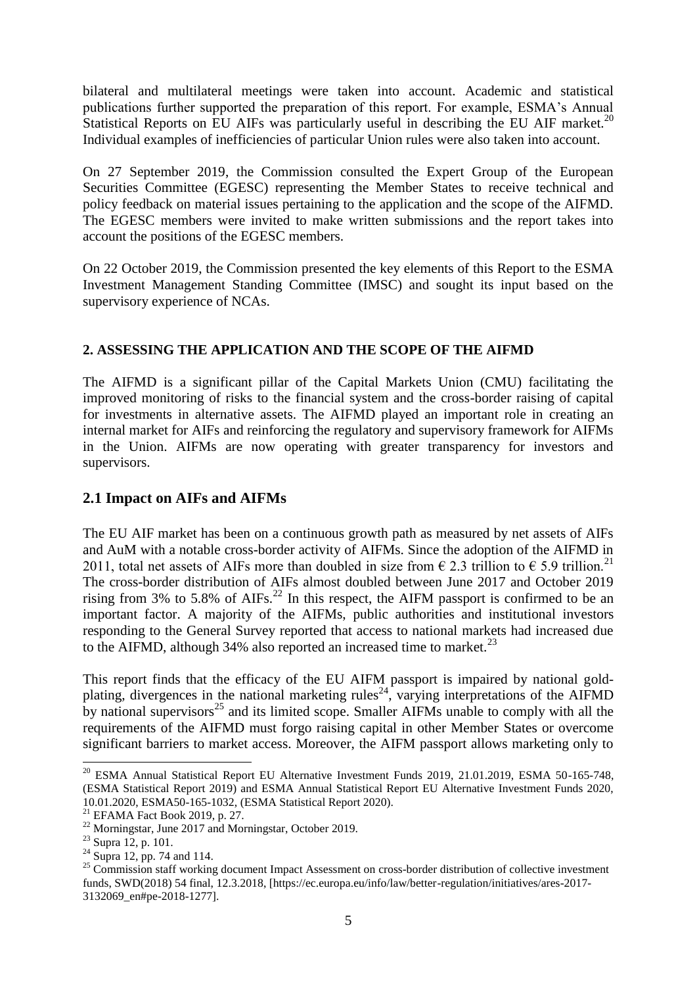bilateral and multilateral meetings were taken into account. Academic and statistical publications further supported the preparation of this report. For example, ESMA's Annual Statistical Reports on EU AIFs was particularly useful in describing the EU AIF market.<sup>20</sup> Individual examples of inefficiencies of particular Union rules were also taken into account.

On 27 September 2019, the Commission consulted the Expert Group of the European Securities Committee (EGESC) representing the Member States to receive technical and policy feedback on material issues pertaining to the application and the scope of the AIFMD. The EGESC members were invited to make written submissions and the report takes into account the positions of the EGESC members.

On 22 October 2019, the Commission presented the key elements of this Report to the ESMA Investment Management Standing Committee (IMSC) and sought its input based on the supervisory experience of NCAs.

#### **2. ASSESSING THE APPLICATION AND THE SCOPE OF THE AIFMD**

The AIFMD is a significant pillar of the Capital Markets Union (CMU) facilitating the improved monitoring of risks to the financial system and the cross-border raising of capital for investments in alternative assets. The AIFMD played an important role in creating an internal market for AIFs and reinforcing the regulatory and supervisory framework for AIFMs in the Union. AIFMs are now operating with greater transparency for investors and supervisors.

### **2.1 Impact on AIFs and AIFMs**

The EU AIF market has been on a continuous growth path as measured by net assets of AIFs and AuM with a notable cross-border activity of AIFMs. Since the adoption of the AIFMD in 2011, total net assets of AIFs more than doubled in size from  $\epsilon$  2.3 trillion to  $\epsilon$  5.9 trillion.<sup>21</sup> The cross-border distribution of AIFs almost doubled between June 2017 and October 2019 rising from 3% to 5.8% of  $AIFs<sup>22</sup>$  In this respect, the AIFM passport is confirmed to be an important factor. A majority of the AIFMs, public authorities and institutional investors responding to the General Survey reported that access to national markets had increased due to the AIFMD, although  $34\%$  also reported an increased time to market.<sup>23</sup>

This report finds that the efficacy of the EU AIFM passport is impaired by national goldplating, divergences in the national marketing rules<sup>24</sup>, varying interpretations of the AIFMD by national supervisors<sup>25</sup> and its limited scope. Smaller AIFMs unable to comply with all the requirements of the AIFMD must forgo raising capital in other Member States or overcome significant barriers to market access. Moreover, the AIFM passport allows marketing only to

**.** 

<sup>&</sup>lt;sup>20</sup> ESMA Annual Statistical Report EU Alternative Investment Funds 2019, 21.01.2019, ESMA 50-165-748, (ESMA Statistical Report 2019) and ESMA Annual Statistical Report EU Alternative Investment Funds 2020, 10.01.2020, ESMA50-165-1032, (ESMA Statistical Report 2020).

 $21$  EFAMA Fact Book 2019, p. 27.

<sup>&</sup>lt;sup>22</sup> Morningstar, June 2017 and Morningstar, October 2019.

<sup>&</sup>lt;sup>23</sup> Supra 12, p. 101.

 $^{24}$  Supra 12, pp. 74 and 114.

<sup>&</sup>lt;sup>25</sup> Commission staff working document Impact Assessment on cross-border distribution of collective investment funds, SWD(2018) 54 final, 12.3.2018, [https://ec.europa.eu/info/law/better-regulation/initiatives/ares-2017- 3132069\_en#pe-2018-1277].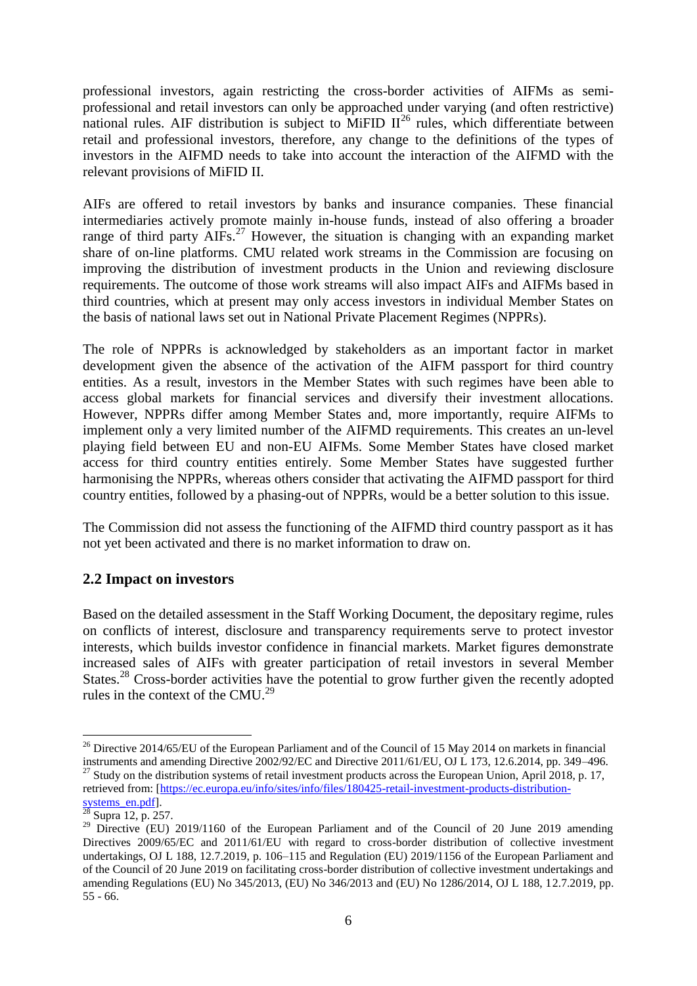professional investors, again restricting the cross-border activities of AIFMs as semiprofessional and retail investors can only be approached under varying (and often restrictive) national rules. AIF distribution is subject to MiFID II<sup>26</sup> rules, which differentiate between retail and professional investors, therefore, any change to the definitions of the types of investors in the AIFMD needs to take into account the interaction of the AIFMD with the relevant provisions of MiFID II.

AIFs are offered to retail investors by banks and insurance companies. These financial intermediaries actively promote mainly in-house funds, instead of also offering a broader range of third party  $\widehat{AIFs.}^{27}$  However, the situation is changing with an expanding market share of on-line platforms. CMU related work streams in the Commission are focusing on improving the distribution of investment products in the Union and reviewing disclosure requirements. The outcome of those work streams will also impact AIFs and AIFMs based in third countries, which at present may only access investors in individual Member States on the basis of national laws set out in National Private Placement Regimes (NPPRs).

The role of NPPRs is acknowledged by stakeholders as an important factor in market development given the absence of the activation of the AIFM passport for third country entities. As a result, investors in the Member States with such regimes have been able to access global markets for financial services and diversify their investment allocations. However, NPPRs differ among Member States and, more importantly, require AIFMs to implement only a very limited number of the AIFMD requirements. This creates an un-level playing field between EU and non-EU AIFMs. Some Member States have closed market access for third country entities entirely. Some Member States have suggested further harmonising the NPPRs, whereas others consider that activating the AIFMD passport for third country entities, followed by a phasing-out of NPPRs, would be a better solution to this issue.

The Commission did not assess the functioning of the AIFMD third country passport as it has not yet been activated and there is no market information to draw on.

## **2.2 Impact on investors**

Based on the detailed assessment in the Staff Working Document, the depositary regime, rules on conflicts of interest, disclosure and transparency requirements serve to protect investor interests, which builds investor confidence in financial markets. Market figures demonstrate increased sales of AIFs with greater participation of retail investors in several Member States.<sup>28</sup> Cross-border activities have the potential to grow further given the recently adopted rules in the context of the CMU.<sup>29</sup>

 $\overline{\phantom{a}}$ 

<sup>&</sup>lt;sup>26</sup> Directive 2014/65/EU of the European Parliament and of the Council of 15 May 2014 on markets in financial instruments and amending Directive 2002/92/EC and Directive 2011/61/EU, OJ L 173, 12.6.2014, pp. 349–496. <sup>27</sup> Study on the distribution systems of retail investment products across the European Union, April 2018, p. 17, retrieved from: [https://ec.europa.eu/info/sites/info/files/180425-retail-investment-products-distribution-

systems\_en.pdf].  $^{28}$  Supra 12, p. 257.

<sup>&</sup>lt;sup>29</sup> Directive (EU) 2019/1160 of the European Parliament and of the Council of 20 June 2019 amending Directives 2009/65/EC and 2011/61/EU with regard to cross-border distribution of collective investment undertakings, OJ L 188, 12.7.2019, p. 106–115 and Regulation (EU) 2019/1156 of the European Parliament and of the Council of 20 June 2019 on facilitating cross-border distribution of collective investment undertakings and amending Regulations (EU) No 345/2013, (EU) No 346/2013 and (EU) No 1286/2014, OJ L 188, 12.7.2019, pp. 55 - 66.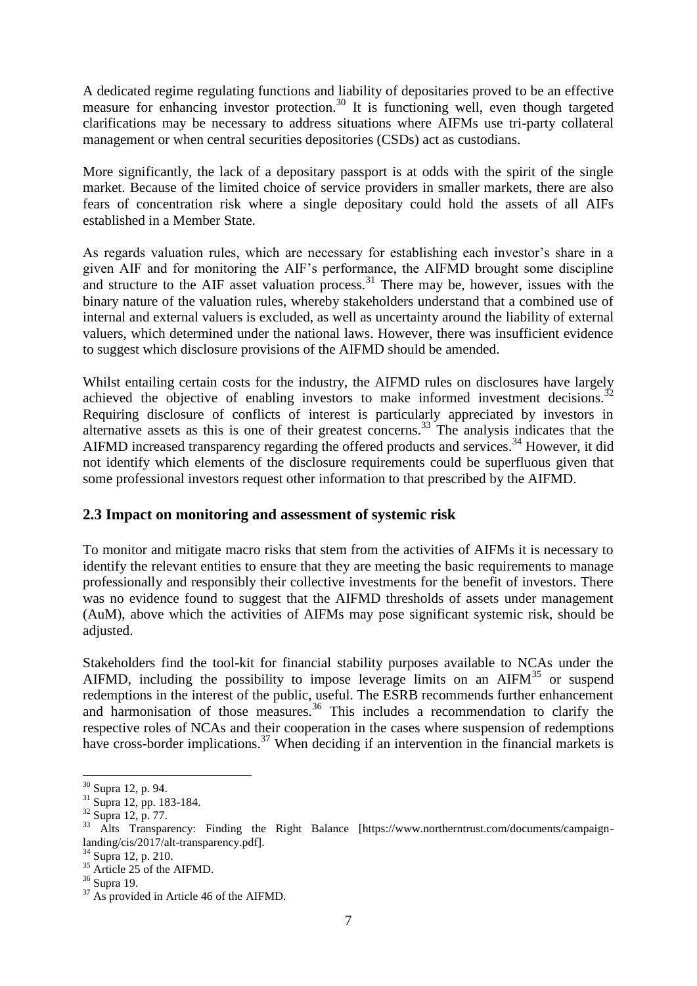A dedicated regime regulating functions and liability of depositaries proved to be an effective measure for enhancing investor protection.<sup>30</sup> It is functioning well, even though targeted clarifications may be necessary to address situations where AIFMs use tri-party collateral management or when central securities depositories (CSDs) act as custodians.

More significantly, the lack of a depositary passport is at odds with the spirit of the single market. Because of the limited choice of service providers in smaller markets, there are also fears of concentration risk where a single depositary could hold the assets of all AIFs established in a Member State.

As regards valuation rules, which are necessary for establishing each investor's share in a given AIF and for monitoring the AIF's performance, the AIFMD brought some discipline and structure to the AIF asset valuation process.<sup>31</sup> There may be, however, issues with the binary nature of the valuation rules, whereby stakeholders understand that a combined use of internal and external valuers is excluded, as well as uncertainty around the liability of external valuers, which determined under the national laws. However, there was insufficient evidence to suggest which disclosure provisions of the AIFMD should be amended.

Whilst entailing certain costs for the industry, the AIFMD rules on disclosures have largely achieved the objective of enabling investors to make informed investment decisions.<sup>32</sup> Requiring disclosure of conflicts of interest is particularly appreciated by investors in alternative assets as this is one of their greatest concerns.<sup>33</sup> The analysis indicates that the AIFMD increased transparency regarding the offered products and services.<sup>34</sup> However, it did not identify which elements of the disclosure requirements could be superfluous given that some professional investors request other information to that prescribed by the AIFMD.

## **2.3 Impact on monitoring and assessment of systemic risk**

To monitor and mitigate macro risks that stem from the activities of AIFMs it is necessary to identify the relevant entities to ensure that they are meeting the basic requirements to manage professionally and responsibly their collective investments for the benefit of investors. There was no evidence found to suggest that the AIFMD thresholds of assets under management (AuM), above which the activities of AIFMs may pose significant systemic risk, should be adjusted.

Stakeholders find the tool-kit for financial stability purposes available to NCAs under the AIFMD, including the possibility to impose leverage limits on an  $AIFM<sup>35</sup>$  or suspend redemptions in the interest of the public, useful. The ESRB recommends further enhancement and harmonisation of those measures.<sup>36</sup> This includes a recommendation to clarify the respective roles of NCAs and their cooperation in the cases where suspension of redemptions have cross-border implications.<sup>37</sup> When deciding if an intervention in the financial markets is

<sup>1</sup> <sup>30</sup> Supra 12, p. 94.

 $31$  Supra 12, pp. 183-184.

 $32 \text{ Supra} 12, \text{p. } 77.$ 

 $33$  Alts Transparency: Finding the Right Balance [https://www.northerntrust.com/documents/campaignlanding/cis/2017/alt-transparency.pdf].

 $34$  Supra 12, p. 210.

<sup>&</sup>lt;sup>35</sup> Article 25 of the AIFMD.

<sup>36</sup> Supra 19.

 $37$  As provided in Article 46 of the AIFMD.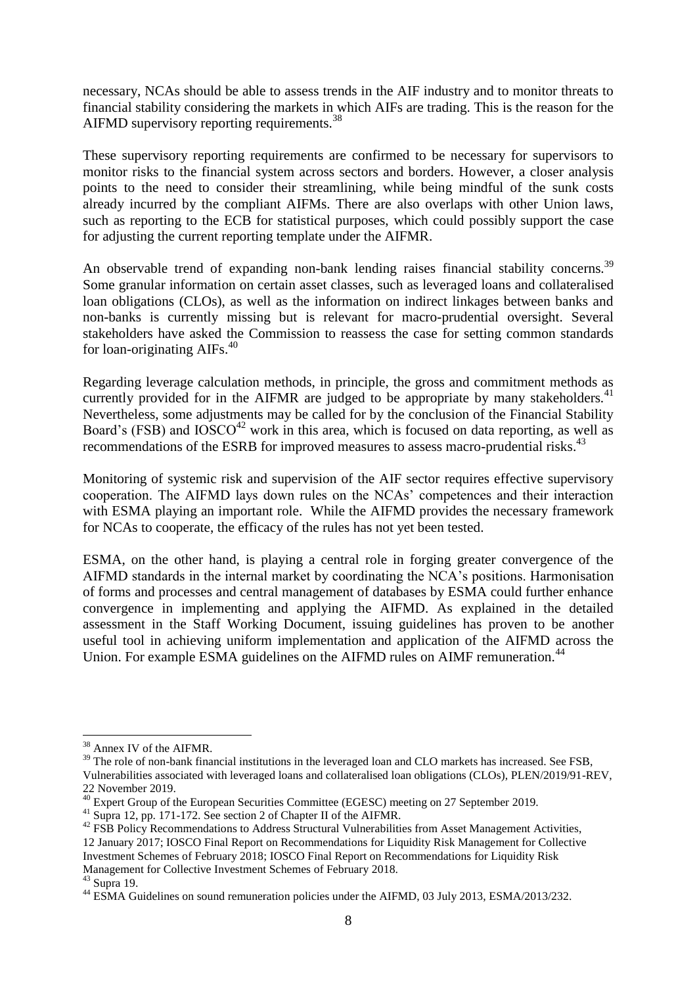necessary, NCAs should be able to assess trends in the AIF industry and to monitor threats to financial stability considering the markets in which AIFs are trading. This is the reason for the AIFMD supervisory reporting requirements.<sup>38</sup>

These supervisory reporting requirements are confirmed to be necessary for supervisors to monitor risks to the financial system across sectors and borders. However, a closer analysis points to the need to consider their streamlining, while being mindful of the sunk costs already incurred by the compliant AIFMs. There are also overlaps with other Union laws, such as reporting to the ECB for statistical purposes, which could possibly support the case for adjusting the current reporting template under the AIFMR.

An observable trend of expanding non-bank lending raises financial stability concerns.<sup>39</sup> Some granular information on certain asset classes, such as leveraged loans and collateralised loan obligations (CLOs), as well as the information on indirect linkages between banks and non-banks is currently missing but is relevant for macro-prudential oversight. Several stakeholders have asked the Commission to reassess the case for setting common standards for loan-originating AIFs.<sup>40</sup>

Regarding leverage calculation methods, in principle, the gross and commitment methods as currently provided for in the AIFMR are judged to be appropriate by many stakeholders. $41$ Nevertheless, some adjustments may be called for by the conclusion of the Financial Stability Board's (FSB) and  $10SCO<sup>42</sup>$  work in this area, which is focused on data reporting, as well as recommendations of the ESRB for improved measures to assess macro-prudential risks.<sup>43</sup>

Monitoring of systemic risk and supervision of the AIF sector requires effective supervisory cooperation. The AIFMD lays down rules on the NCAs' competences and their interaction with ESMA playing an important role. While the AIFMD provides the necessary framework for NCAs to cooperate, the efficacy of the rules has not yet been tested.

ESMA, on the other hand, is playing a central role in forging greater convergence of the AIFMD standards in the internal market by coordinating the NCA's positions. Harmonisation of forms and processes and central management of databases by ESMA could further enhance convergence in implementing and applying the AIFMD. As explained in the detailed assessment in the Staff Working Document, issuing guidelines has proven to be another useful tool in achieving uniform implementation and application of the AIFMD across the Union. For example ESMA guidelines on the AIFMD rules on AIMF remuneration.<sup>44</sup>

 $\overline{\phantom{a}}$ 

<sup>38</sup> Annex IV of the AIFMR.

<sup>&</sup>lt;sup>39</sup> The role of non-bank financial institutions in the leveraged loan and CLO markets has increased. See FSB, Vulnerabilities associated with leveraged loans and collateralised loan obligations (CLOs), PLEN/2019/91-REV, 22 November 2019.

<sup>40</sup> Expert Group of the European Securities Committee (EGESC) meeting on 27 September 2019.

 $41$  Supra 12, pp. 171-172. See section 2 of Chapter II of the AIFMR.

<sup>&</sup>lt;sup>42</sup> FSB Policy Recommendations to Address Structural Vulnerabilities from Asset Management Activities, 12 January 2017; IOSCO Final Report on Recommendations for Liquidity Risk Management for Collective Investment Schemes of February 2018; IOSCO Final Report on Recommendations for Liquidity Risk Management for Collective Investment Schemes of February 2018.

 $43$  Supra 19.

<sup>&</sup>lt;sup>44</sup> ESMA Guidelines on sound remuneration policies under the AIFMD, 03 July 2013, ESMA/2013/232.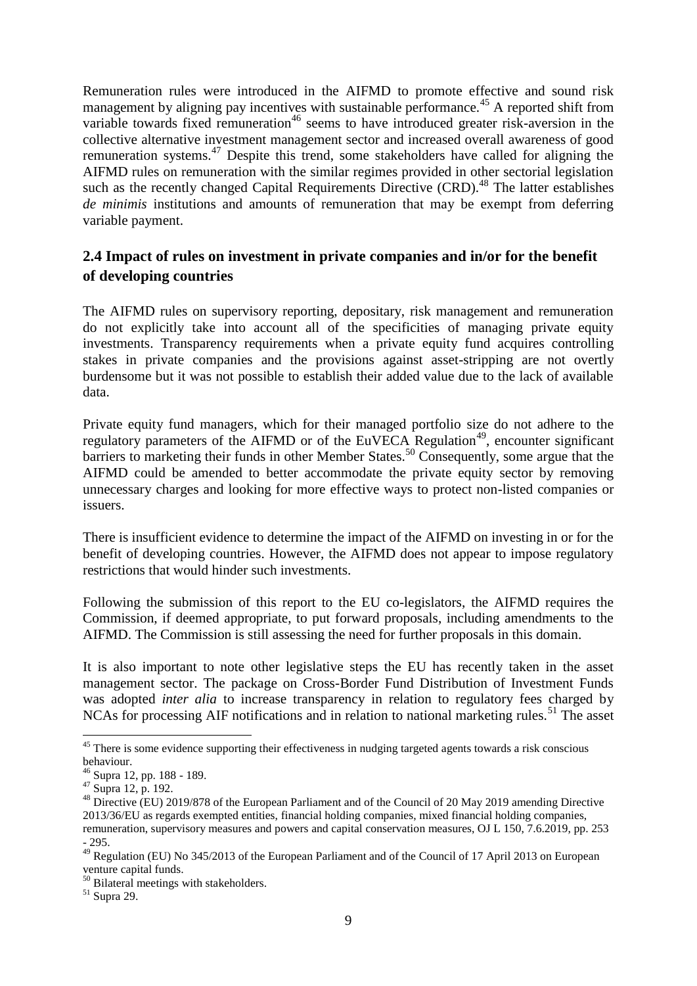Remuneration rules were introduced in the AIFMD to promote effective and sound risk management by aligning pay incentives with sustainable performance.<sup>45</sup> A reported shift from variable towards fixed remuneration<sup>46</sup> seems to have introduced greater risk-aversion in the collective alternative investment management sector and increased overall awareness of good remuneration systems.<sup>47</sup> Despite this trend, some stakeholders have called for aligning the AIFMD rules on remuneration with the similar regimes provided in other sectorial legislation such as the recently changed Capital Requirements Directive (CRD).<sup>48</sup> The latter establishes *de minimis* institutions and amounts of remuneration that may be exempt from deferring variable payment.

# **2.4 Impact of rules on investment in private companies and in/or for the benefit of developing countries**

The AIFMD rules on supervisory reporting, depositary, risk management and remuneration do not explicitly take into account all of the specificities of managing private equity investments. Transparency requirements when a private equity fund acquires controlling stakes in private companies and the provisions against asset-stripping are not overtly burdensome but it was not possible to establish their added value due to the lack of available data.

Private equity fund managers, which for their managed portfolio size do not adhere to the regulatory parameters of the AIFMD or of the EuVECA Regulation<sup>49</sup>, encounter significant barriers to marketing their funds in other Member States.<sup>50</sup> Consequently, some argue that the AIFMD could be amended to better accommodate the private equity sector by removing unnecessary charges and looking for more effective ways to protect non-listed companies or issuers.

There is insufficient evidence to determine the impact of the AIFMD on investing in or for the benefit of developing countries. However, the AIFMD does not appear to impose regulatory restrictions that would hinder such investments.

Following the submission of this report to the EU co-legislators, the AIFMD requires the Commission, if deemed appropriate, to put forward proposals, including amendments to the AIFMD. The Commission is still assessing the need for further proposals in this domain.

It is also important to note other legislative steps the EU has recently taken in the asset management sector. The package on Cross-Border Fund Distribution of Investment Funds was adopted *inter alia* to increase transparency in relation to regulatory fees charged by NCAs for processing AIF notifications and in relation to national marketing rules.<sup>51</sup> The asset

 $\overline{\phantom{a}}$ 

<sup>&</sup>lt;sup>45</sup> There is some evidence supporting their effectiveness in nudging targeted agents towards a risk conscious behaviour.

<sup>46</sup> Supra 12, pp. 188 - 189.

 $47 \overline{\text{Supra}}$  12, p. 192.

<sup>&</sup>lt;sup>48</sup> Directive (EU) 2019/878 of the European Parliament and of the Council of 20 May 2019 amending Directive 2013/36/EU as regards exempted entities, financial holding companies, mixed financial holding companies, remuneration, supervisory measures and powers and capital conservation measures, OJ L 150, 7.6.2019, pp. 253 - 295.

 $^{49}$  Regulation (EU) No 345/2013 of the European Parliament and of the Council of 17 April 2013 on European venture capital funds.

<sup>&</sup>lt;sup>50</sup> Bilateral meetings with stakeholders.

<sup>51</sup> Supra 29.